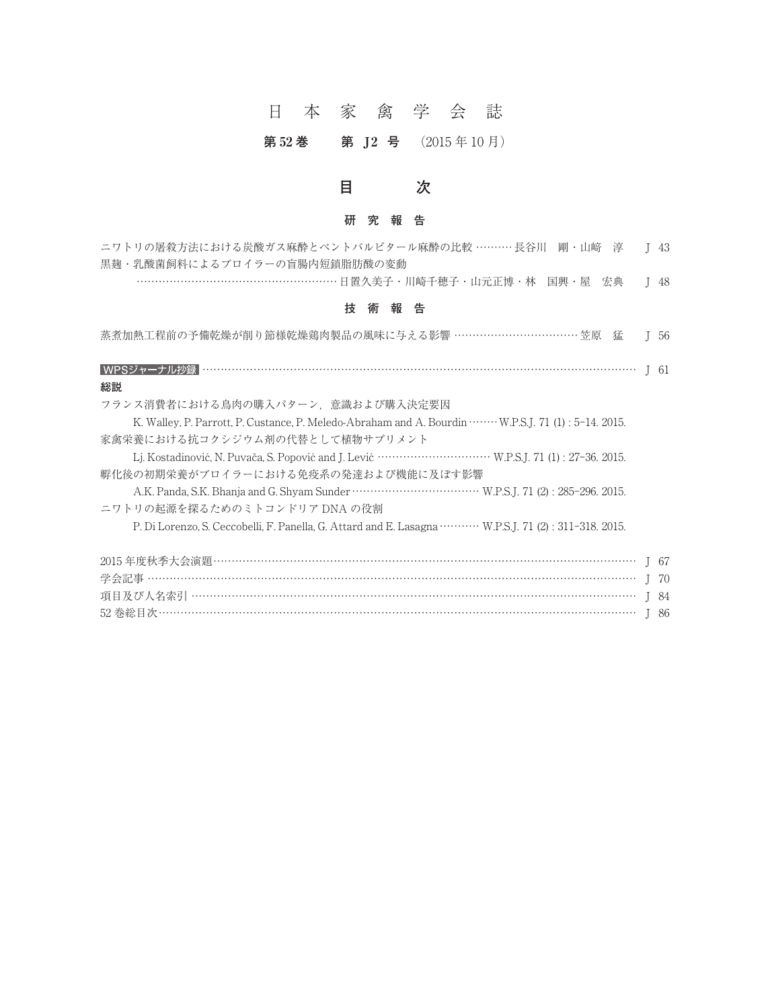# 日本家禽学会誌

## 第 52 巻 第 J2 号 (2015年10月)

# **目 次**

#### **研究報告**

| 研究報告                                                   |  |
|--------------------------------------------------------|--|
| ニワトリの屠殺方法における炭酸ガス麻酔とペントバルビタール麻酔の比較 ………長谷川 剛・山﨑 淳  J 43 |  |
| 黒麹・乳酸菌飼料によるブロイラーの盲腸内短鎖脂肪酸の変動                           |  |
| ………………………………………………… 日置久美子・川崎千穂子・山元正博・林 国興・屋 宏典  I 48   |  |
|                                                        |  |

#### **技術報告**

| 技<br>報<br>告<br>術                                                                                               |         |
|----------------------------------------------------------------------------------------------------------------|---------|
| 蒸煮加熱工程前の予備乾燥が削り節様乾燥鶏肉製品の風味に与える影響 ……………………………… 笠原 猛                                                             | $1\,56$ |
|                                                                                                                |         |
| 総説                                                                                                             |         |
| フランス消費者における鳥肉の購入パターン.意識および購入決定要因                                                                               |         |
| K. Walley, P. Parrott, P. Custance, P. Meledo-Abraham and A. Bourdin ········ W.P.S.J. 71 (1): 5-14. 2015.     |         |
| 家禽栄養における抗コクシジウム剤の代替として植物サプリメント                                                                                 |         |
|                                                                                                                |         |
| 孵化後の初期栄養がブロイラーにおける免疫系の発達および機能に及ぼす影響                                                                            |         |
|                                                                                                                |         |
| ニワトリの起源を探るためのミトコンドリア DNA の役割                                                                                   |         |
| P. Di Lorenzo, S. Ceccobelli, F. Panella, G. Attard and E. Lasagna ··········· W.P.S.J. 71 (2): 311-318. 2015. |         |
|                                                                                                                |         |
|                                                                                                                |         |
|                                                                                                                |         |
|                                                                                                                |         |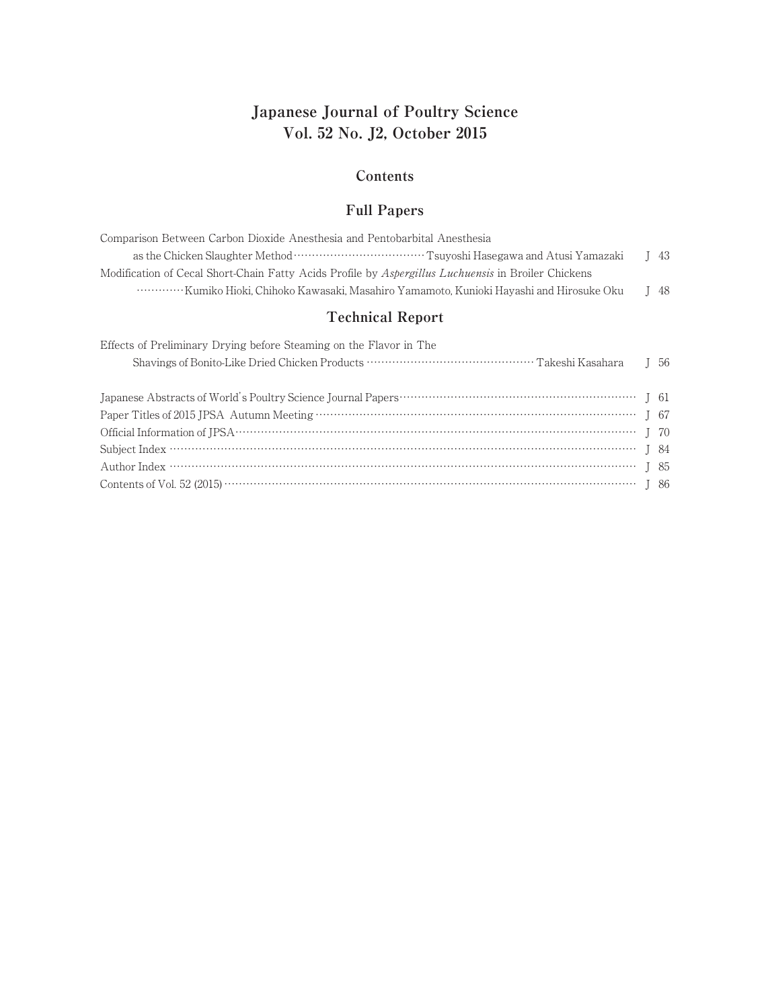# **Japanese Journal of Poultry Science Vol. 52 No. J2, October 2015**

#### **Contents**

#### **Full Papers**

| Comparison Between Carbon Dioxide Anesthesia and Pentobarbital Anesthesia                           |                |
|-----------------------------------------------------------------------------------------------------|----------------|
|                                                                                                     | $\frac{1}{43}$ |
| Modification of Cecal Short-Chain Fatty Acids Profile by Aspergillus Luchuensis in Broiler Chickens |                |
| www.www.Kumiko Hioki, Chihoko Kawasaki, Masahiro Yamamoto, Kunioki Hayashi and Hirosuke Oku         | I 48           |

## **Technical Report**

| Effects of Preliminary Drying before Steaming on the Flavor in The |  |
|--------------------------------------------------------------------|--|
|                                                                    |  |
|                                                                    |  |
|                                                                    |  |
|                                                                    |  |
|                                                                    |  |
| Contents of Vol. 52 (2015) $\cdots$ [ 86                           |  |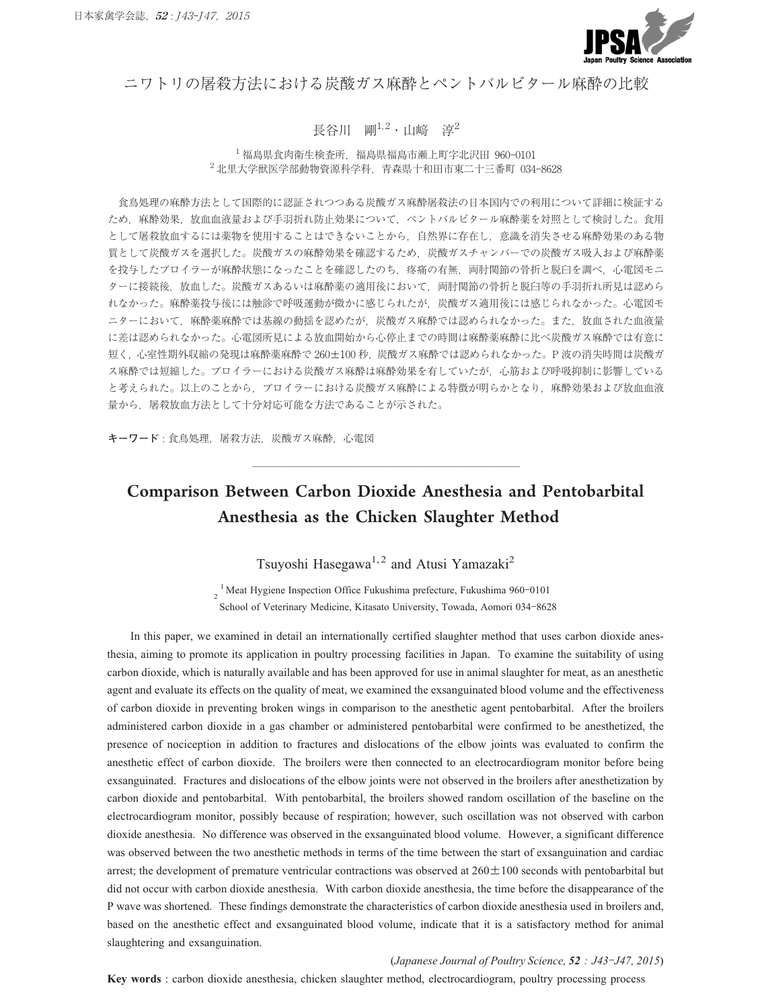

ニワトリの屠殺方法における炭酸ガス麻酔とペントバルビタール麻酔の比較

#### 長谷川 剛 $1.2 \cdot$ 山崹 淳 $2$

<sup>1</sup> 福島県食肉衛生検査所,福島県福島市瀬上町字北沢田 960**-**<sup>0101</sup> <sup>2</sup> 北里大学獣医学部動物資源科学科,青森県十和田市東二十三番町 034**-**<sup>8628</sup>

食鳥処理の麻酔方法として国際的に認証されつつある炭酸ガス麻酔屠殺法の日本国内での利用について詳細に検証する ため,麻酔効果,放血血液量および手羽折れ防止効果について,ペントバルビタール麻酔薬を対照として検討した。食用 として屠殺放血するには薬物を使用することはできないことから,自然界に存在し,意識を消失させる麻酔効果のある物 質として炭酸ガスを選択した。炭酸ガスの麻酔効果を確認するため,炭酸ガスチャンバーでの炭酸ガス吸入および麻酔薬 を投与したブロイラーが麻酔状態になったことを確認したのち、疼痛の有無、両肘関節の骨折と脱臼を調べ、心電図モニ ターに接続後,放血した。炭酸ガスあるいは麻酔薬の適用後において,両肘関節の骨折と脱臼等の手羽折れ所見は認めら れなかった。麻酔薬投与後には触診で呼吸運動が微かに感じられたが,炭酸ガス適用後には感じられなかった。心電図モ ニターにおいて,麻酔薬麻酔では基線の動揺を認めたが,炭酸ガス麻酔では認められなかった。また,放血された血液量 に差は認められなかった。心電図所見による放血開始から心停止までの時間は麻酔薬麻酔に比べ炭酸ガス麻酔では有意に ターに接続後,放血した。炭酸ガスあるいは麻酔薬の適用後において,両肘関節の骨折と脱臼等の手羽折れ所見は認めら<br>れなかった。麻酔薬投与後には触診で呼吸運動が微かに感じられたが,炭酸ガス適用後には感じられなかった。心電図モ<br>ニターにおいて,麻酔薬麻酔では基線の動揺を認めたが,炭酸ガス麻酔では認められなかった。また,放血された血液量<br>に差は認められなかった。心電図所見による放血開始から心停止までの時間は麻酔薬麻酔に比べ炭酸ガス麻酔では有意に<br> ス麻酔では短縮した。ブロイラーにおける炭酸ガス麻酔は麻酔効果を有していたが,心筋および呼吸抑制に影響している と考えられた。以上のことから,ブロイラーにおける炭酸ガス麻酔による特徴が明らかとなり,麻酔効果および放血血液 量から,屠殺放血方法として十分対応可能な方法であることが示された。

**キーワード** : 食鳥処理, 屠殺方法, 炭酸ガス麻酔, 心電図

# Comparison Between Carbon Dioxide Anesthesia and Pentobarbital Anesthesia as the Chicken Slaughter Method

Tsuyoshi Hasegawa<sup>1,2</sup> and Atusi Yamazaki<sup>2</sup>

Tsuyoshi Hasegawa<sup>1,2</sup> and Atusi Yamazaki<sup>2</sup><br><sup>2</sup><sup>1</sup>Meat Hygiene Inspection Office Fukushima prefecture, Fukushima 960-0101 Tsuyoshi Hasegawa<sup>1, 2</sup> and Atusi Yamazaki<sup>2</sup><br><sup>1</sup> Meat Hygiene Inspection Office Fukushima prefecture, Fukushima 960-0101<br>School of Veterinary Medicine, Kitasato University, Towada, Aomori 034-8628

In this paper, we examined in detail an internationally certified slaughter method that uses carbon dioxide anesthesia, aiming to promote its application in poultry processing facilities in Japan. To examine the suitability of using carbon dioxide, which is naturally available and has been approved for use in animal slaughter for meat, as an anesthetic agent and evaluate its effects on the quality of meat, we examined the exsanguinated blood volume and the effectiveness of carbon dioxide in preventing broken wings in comparison to the anesthetic agent pentobarbital. After the broilers administered carbon dioxide in a gas chamber or administered pentobarbital were confirmed to be anesthetized, the presence of nociception in addition to fractures and dislocations of the elbow joints was evaluated to confirm the anesthetic effect of carbon dioxide. The broilers were then connected to an electrocardiogram monitor before being exsanguinated. Fractures and dislocations of the elbow joints were not observed in the broilers after anesthetization by carbon dioxide and pentobarbital. With pentobarbital, the broilers showed random oscillation of the baseline on the electrocardiogram monitor, possibly because of respiration; however, such oscillation was not observed with carbon dioxide anesthesia. No difference was observed in the exsanguinated blood volume. However, a significant difference was observed between the two anesthetic methods in terms of the time between the start of exsanguination and cardiac carbon dioxide and pentobarbital. With pentobarbital, the broilers showed random oscillation of the baseline on the<br>electrocardiogram monitor, possibly because of respiration; however, such oscillation was not observed wi did not occur with carbon dioxide anesthesia. With carbon dioxide anesthesia, the time before the disappearance of the P wave was shortened. These findings demonstrate the characteristics of carbon dioxide anesthesia used in broilers and, based on the anesthetic effect and exsanguinated blood volume, indicate that it is a satisfactory method for animal slaughtering and exsanguination. (*Japanese Journal of Poultry Science, <sup>52</sup> : J43***-***J47, 2015*)

**Key words** : carbon dioxide anesthesia, chicken slaughter method, electrocardiogram, poultry processing process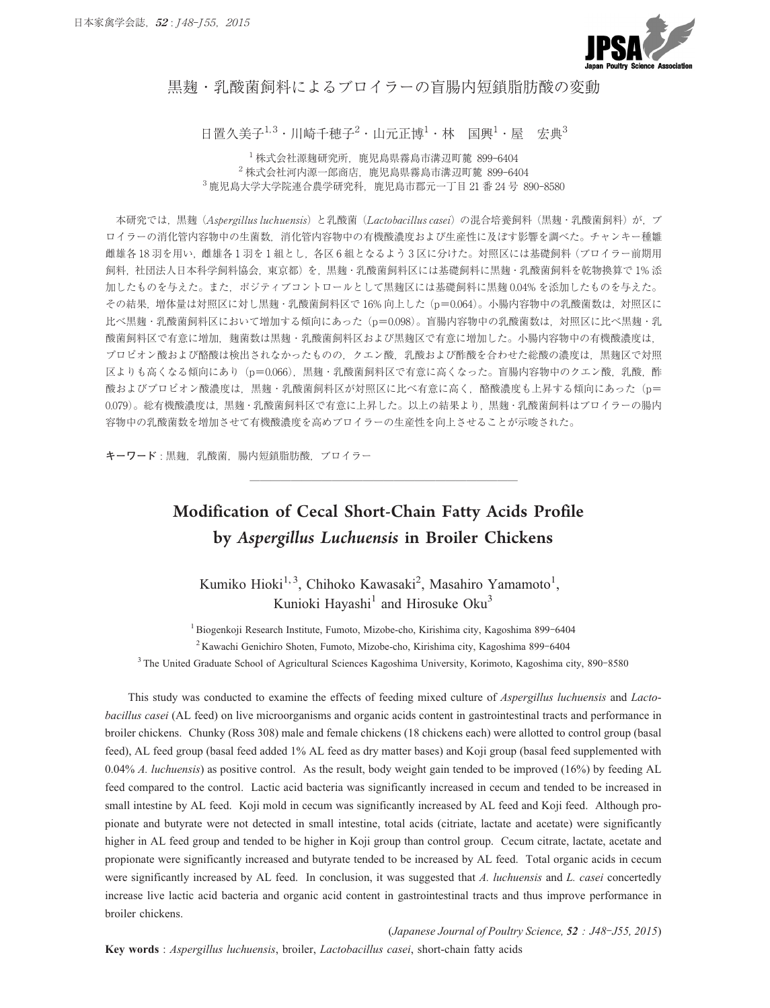

#### 黒麹・乳酸菌飼料によるブロイラーの盲腸内短鎖脂肪酸の変動

日置久美子 $^{1,3}$ ・川崎千穂子 $^{2}$ ・山元正博 $^{1}$ ・林 国興 $^{1}$ ・屋 宏典 $^{3}$ **<sub>최 即小什に よ る ノ ロ イ フ ー ♡ 目 肠 |^J 起 頭** 脂<br>:子<sup>1.3</sup>・川崎千穂子<sup>2</sup>・山元正博<sup>1</sup>・林 国興<sup>1</sup>・屋<br><sup>1</sup>株式会社源麹研究所,鹿児島県霧島市溝辺町麓 899-6404</sub>

美子<sup>1,3</sup>・川崎千穂子<sup>2</sup>・山元正博<sup>1</sup>・林 国興<sup>1</sup>・屋<br><sup>1</sup>株式会社源麹研究所,鹿児島県霧島市溝辺町麓 899-6404<br><sup>2</sup>株式会社河内源一郎商店,鹿児島県霧島市溝辺町麓 899-6404 日 置久 美子<sup>1,3</sup>・川崎 千穂 子<sup>2</sup>・山元正博<sup>1</sup>・林 国興<sup>1</sup>・屋 宏典<sup>:</sup><br>「株式会社源麹研究所,鹿児島県霧島市溝辺町麓 899-6404<br><sup>2</sup> 株式会社河内源一郎商店,鹿児島県霧島市溝辺町麓 899-6404<br><sup>3</sup> 鹿児島大学大学院連合農学研究科,鹿児島市郡元一丁目 21 番 24 号 890-8580

本研究では、黒麹 (Aspergillus luchuensis)と乳酸菌 (Lactobacillus casei)の混合培養飼料 (黒麹・乳酸菌飼料)が,ブ ロイラーの消化管内容物中の生菌数,消化管内容物中の有機酸濃度および生産性に及ぼす影響を調べた。チャンキー種雛 雌雄各 18 羽を用い、雌雄各 1 羽を1 組とし、各区 6 組となるよう 3 区に分けた。対照区には基礎飼料(ブロイラー前期用 飼料,社団法人日本科学飼料協会,東京都)を,黒麹・乳酸菌飼料区には基礎飼料に黒麹・乳酸菌飼料を乾物換算で 1% 添 加したものを与えた。また,ポジティブコントロールとして黒麹区には基礎飼料に黒麹 0.04% を添加したものを与えた。 ロイラーの消化管内容物中の生菌数,消化管内容物中の有機酸濃度および生産性に及ぼす影響を調べた。チャンキー種雛<br>雌雄各 18 羽を用い,雌雄各1羽を1組とし,各区6組となるよう3区に分けた。対照区には基礎飼料(ブロイラー前期用<br>飼料,社団法人日本科学飼料協会,東京都)を,黒麹・乳酸菌飼料区には基礎飼料に黒麹・乳酸菌飼料を乾物換算で1% 添<br>加したものを与えた。また,ポジティブコントロールとして黒麹区には基礎飼料に黒麹 0.04% を添加し 雌雄各 18 羽を用い,雌雄各 1 羽を 1 組とし,各区 6 組となるよう 3 区に分けた。対照区には基礎飼料(ブロイラー前期用<br>飼料,社団法人日本科学飼料協会,東京都)を,黒麹・乳酸菌飼料区には基礎飼料に黒麹・乳酸菌飼料を乾物換算で 1% 添<br>加したものを与えた。また,ポジティブコントロールとして黒麹区には基礎飼料に黒麹 0.04% を添加したものを与えた。<br>その結果,増体量は対照区に対し黒麹・乳酸菌飼料区で 16% 向上した (p 酸菌飼料区で有意に増加,麹菌数は黒麹・乳酸菌飼料区および黒麹区で有意に増加した。小腸内容物中の有機酸濃度は, プロピオン酸および酪酸は検出されなかったものの,クエン酸,乳酸および酢酸を合わせた総酸の濃度は,黒麹区で対照 その結果, 増体量は対照区に対し黒麹·乳酸菌飼料区で16%向上した (p=0.064)。小腸内容物中の乳酸菌数は, 対照区に<br>比べ黒麹·乳酸菌飼料区において増加する傾向にあった (p=0.098)。盲腸内容物中の乳酸菌数は, 対照区に比べ黒麹·乳 区よりも高くなる傾向にあり (p=0.066), 黒麹・乳酸菌飼料区で有意に高くなった。盲腸内容物中のクエン酸, 乳酸, 酢<br>酸およびプロピオン酸濃度は, 黒麹・乳酸菌飼料区が対照区に比べ有意に高く, 酪酸濃度も上昇する傾向にあった (p= 0.079)。総有機酸濃度は,黒麹·乳酸菌飼料区で有意に上昇した。以上の結果より,黒麹·乳酸菌飼料はブロイラーの腸内 容物中の乳酸菌数を増加させて有機酸濃度を高めブロイラーの生産性を向上させることが示唆された。 **──────────────────────────**

キーワード:黒麹, 乳酸菌, 腸内短鎖脂肪酸, ブロイラー

# Modification of Cecal Short-Chain Fatty Acids Profile by *Aspergillus Luchuensis* in Broiler Chickens

Kumiko Hioki<sup>1,3</sup>, Chihoko Kawasaki<sup>2</sup>, Masahiro Yamamoto<sup>1</sup>, Kunioki Hayashi<sup>1</sup> and Hirosuke Oku<sup>3</sup> Kumiko Hioki<sup>1, 3</sup>, Chihoko Kawasaki<sup>2</sup>, Masahiro Yamamoto<sup>1</sup>,<br>Kunioki Hayashi<sup>1</sup> and Hirosuke Oku<sup>3</sup><br>Biogenkoji Research Institute, Fumoto, Mizobe-cho, Kirishima city, Kagoshima 899-6404 Kumiko Hioki<sup>1, 3</sup>, Chihoko Kawasaki<sup>2</sup>, Masahiro Yamamoto<sup>1</sup>,<br>Kunioki Hayashi<sup>1</sup> and Hirosuke Oku<sup>3</sup><br>Biogenkoji Research Institute, Fumoto, Mizobe-cho, Kirishima city, Kagoshima 899-6404<br><sup>2</sup> Kawachi Genichiro Shoten, Fumo

<sup>1</sup> Biogenkoji Research Institute, Fumoto, Mizobe-cho, Kirishima city, Kagoshima 899-6404 <sup>2</sup> Kawachi Genichiro Shoten, Fumoto, Mizobe-cho, Kirishima city, Kagoshima 899-6404<br><sup>3</sup> The United Graduate School of Agricultural Sciences Kagoshima University, Korimoto, Kagoshima city, 890-8580

This study was conducted to examine the effects of feeding mixed culture of *Aspergillus luchuensis* and *Lactobacillus casei* (AL feed) on live microorganisms and organic acids content in gastrointestinal tracts and performance in broiler chickens. Chunky (Ross 308) male and female chickens (18 chickens each) were allotted to control group (basal feed), AL feed group (basal feed added 1% AL feed as dry matter bases) and Koji group (basal feed supplemented with 0.04% *A. luchuensis*) as positive control. As the result, body weight gain tended to be improved (16%) by feeding AL feed compared to the control. Lactic acid bacteria was significantly increased in cecum and tended to be increased in small intestine by AL feed. Koji mold in cecum was significantly increased by AL feed and Koji feed. Although propionate and butyrate were not detected in small intestine, total acids (citriate, lactate and acetate) were significantly higher in AL feed group and tended to be higher in Koji group than control group. Cecum citrate, lactate, acetate and propionate were significantly increased and butyrate tended to be increased by AL feed. Total organic acids in cecum were significantly increased by AL feed. In conclusion, it was suggested that *A. luchuensis* and *L. casei* concertedly increase live lactic acid bacteria and organic acid content in gastrointestinal tracts and thus improve performance in broiler chickens.

(*Japanese Journal of Poultry Science, <sup>52</sup> : J48***-***J55, 2015*)

**Key words** : *Aspergillus luchuensis*, broiler, *Lactobacillus casei*, short-chain fatty acids